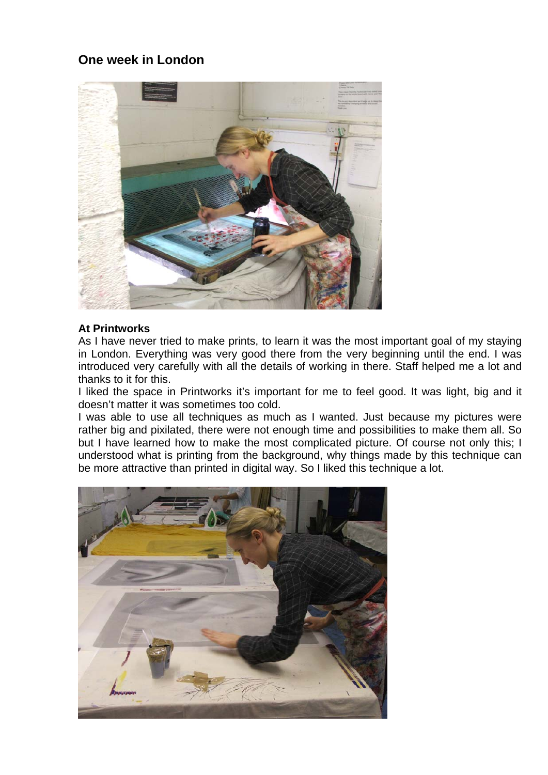# **One week in London**



#### **At Printworks**

As I have never tried to make prints, to learn it was the most important goal of my staying in London. Everything was very good there from the very beginning until the end. I was introduced very carefully with all the details of working in there. Staff helped me a lot and thanks to it for this.

I liked the space in Printworks it's important for me to feel good. It was light, big and it doesn't matter it was sometimes too cold.

I was able to use all techniques as much as I wanted. Just because my pictures were rather big and pixilated, there were not enough time and possibilities to make them all. So but I have learned how to make the most complicated picture. Of course not only this; I understood what is printing from the background, why things made by this technique can be more attractive than printed in digital way. So I liked this technique a lot.